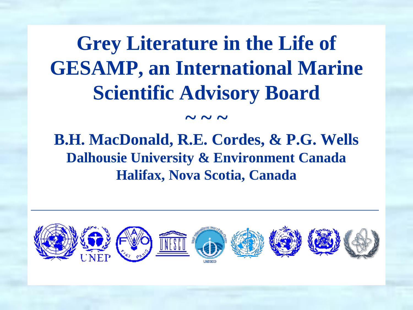### **Grey Literature in the Life of GESAMP, an International Marine Scientific Advisory Board**

### **B.H. MacDonald, R.E. Cordes, & P.G. Wells Dalhousie University & Environment Canada Halifax, Nova Scotia, Canada**

 $\sim$  ~ ~

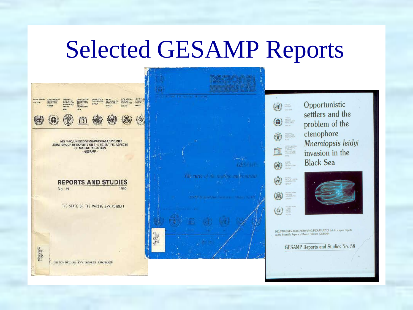### Selected GESAMP Reports

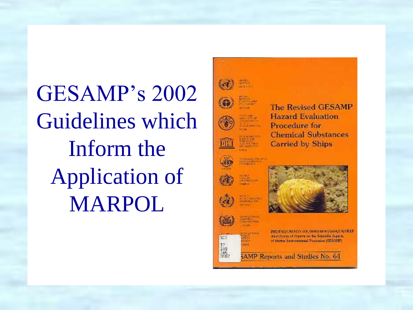GESAMP's 2002 Guidelines which Inform the Application of MARPOL



**The Revised GESAMP Hazard Evaluation** Procedure for **Chemical Substances Carried by Ships** 



SCI

 $\frac{1}{148}$ 



ING/ENOCALSON OX/WAID/WOODNAST/NUKEP John Green of toppens on the Scientific Aspects. of Warths, Environmental Francisco (SES/USF).

5AMP Reports and Studies No. 64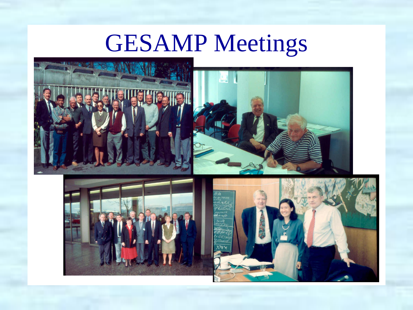# GESAMP Meetings







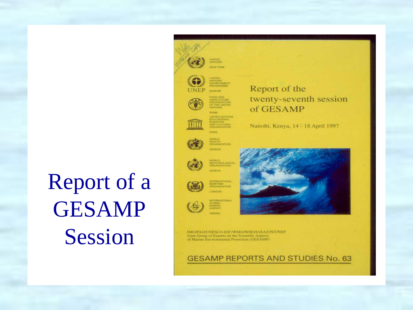# Report of a GESAMP Session



**FITHE LINITED ROMAN** 



UNITED NATION SCIENTIFIC<br>AND CULTURAL<br>ORGANIZATION



**FARIS** 



WORLD<br>HEALTH<br>ONGANIZATION **ALL AREA** 



AVORLD<br>METEOROLOGICAL<br>ORGANIZATION **ALCOHOL:** 



INTERNATIONAL<br>MARITIME<br>CIRGANIZATION **LONDON** 



VIENNA

INTERNATIONAL<br>ATOMIC<br>ENERGY<br>AGENCY



IMO/FAO/UNESCO-IOC/WMO/WHO/IAEA/UN/UNEP Joint Group of Experts on the Scientific Aspects of Marine Environmental Protection (GESAMP)

**GESAMP REPORTS AND STUDIES No. 63** 

#### Report of the twenty-seventh session of GESAMP

Nairobi, Kenya, 14 - 18 April 1997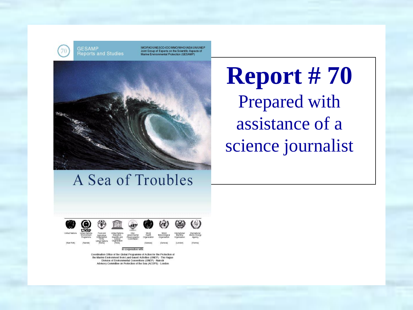**GESAMP Reports and Studies** 

IMO/FAO/UNESCO-IOC/WMO/WHO/IAEA/UN/UNEP Joint Group of Experts on the Scientific Aspects of Marine Environmental Protection (GESAMP)



### A Sea of Troubles



Coordination Office of the Global Programme of Action for the Protection of the Marine Environment from Land-based Activities (UNEP) - The Hague Division of Environmental Conventions (UNEP) - Natrobi Advisory Committee on Protection of the Sea (ACOPS) - London

### **Report # 70** Prepared with assistance of a science journalist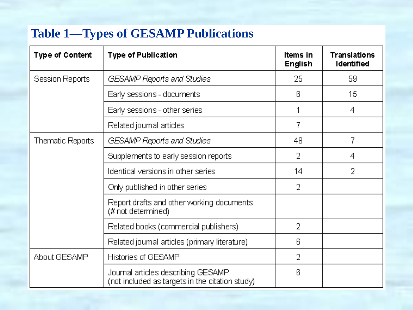#### **Table 1—Types of GESAMP Publications**

| <b>Type of Content</b>             | <b>Type of Publication</b>                                                            | Items in<br><b>English</b> | <b>Translations</b><br><b>Identified</b> |
|------------------------------------|---------------------------------------------------------------------------------------|----------------------------|------------------------------------------|
| Session Reports                    | GESAMP Reports and Studies                                                            | 25                         | 59                                       |
|                                    | Early sessions - documents                                                            | 6.                         | 15                                       |
|                                    | Early sessions - other series                                                         |                            | 4                                        |
|                                    | Related journal articles                                                              | 7                          |                                          |
| Thematic Reports                   | GESAMP Reports and Studies                                                            | 48                         | 7                                        |
|                                    | Supplements to early session reports.                                                 | 2                          | 4                                        |
| Identical versions in other series |                                                                                       | 14                         | 2                                        |
|                                    | Only published in other series                                                        | 2                          |                                          |
|                                    | Report drafts and other working documents<br>(# not determined)                       |                            |                                          |
|                                    | Related books (commercial publishers)                                                 | 2                          |                                          |
|                                    | Related journal articles (primary literature)                                         | 6                          |                                          |
| About GESAMP                       | Histories of GESAMP                                                                   | 2                          |                                          |
|                                    | Journal articles describing GESAMP<br>(not included as targets in the citation study) | 6                          |                                          |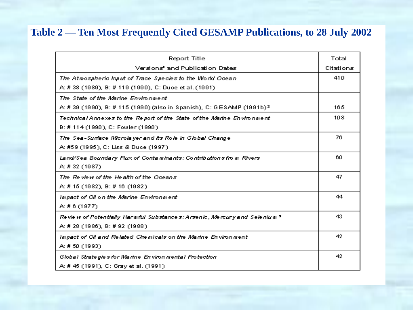#### **Table 2 — Ten Most Frequently Cited GESAMP Publications, to 28 July 2002**

| Report Title                                                                          |           |  |
|---------------------------------------------------------------------------------------|-----------|--|
| Versions' and Publication Dates                                                       | Citations |  |
| The Atmospheric Input of Trace Species to the World Ocean.                            |           |  |
| A: # 38 (1989), B: # 119 (1990), C: Duce et al. (1991).                               |           |  |
| The State of the Marine Environment                                                   |           |  |
| A: # 39 (1990), B: # 115 (1990) (also in Spanish), C: GESAMP (1991b) <del>?</del>     |           |  |
| Technical Annexes to the Report of the State of the Marine Environment                |           |  |
| B: # 114 (1990), C: Fowler (1990)                                                     |           |  |
| The Sea-Surface Microlayer and its Role in Global Change                              | 76        |  |
| A: #59 (1995), C: Liss & Duce (1997).                                                 |           |  |
| Land/Sea Boundary Flux of Contaminants: Contributions from Rivers                     | 60.       |  |
| A:#32 (1987)                                                                          |           |  |
| The Review of the Health of the Oceans                                                |           |  |
| A: # 15 (1982), B: # 16 (1982).                                                       |           |  |
| Impact of Oil on the Marine Environment.                                              |           |  |
| A:#6 (1977).                                                                          |           |  |
| Revie w of Potentially Harmful Substances: Arsenic, Mercury and Selenium <sup>a</sup> | 43.       |  |
| A: # 28 (1986), B: # 92 (1988).                                                       |           |  |
| Impact of Oil and Related Chemicals on the Marine Environment                         |           |  |
| A: # 50 (1993)                                                                        |           |  |
| Global Strategies for Marine Environmental Protection                                 |           |  |
| A: # 45 (1991), C: Gray et al. (1991).                                                |           |  |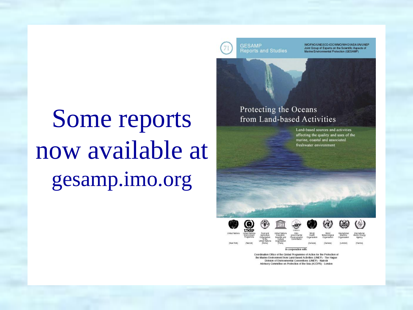**GESAMP Reports and Studies** 

IMO/FAO/UNESCO-IOC/WMO/WHO/IAEA/UN/UNEP Joint Group of Experts on the Scientific Aspects of<br>Marine Environmental Protection (GESAMP)

# Some reports now available at gesamp.imo.org



Land-based sources and activities affecting the quality and uses of the marine, coastal and associated freshwater environment



In cooperation with: Coordination Office of the Global Programme of Action for the Protection of the Marine Environment from Land-based Activities (UNEP) - The Hague Division of Environmental Conventions (UNEP) - Natrobi Advisory Committee on Protection of the Sea (ACOPS) - London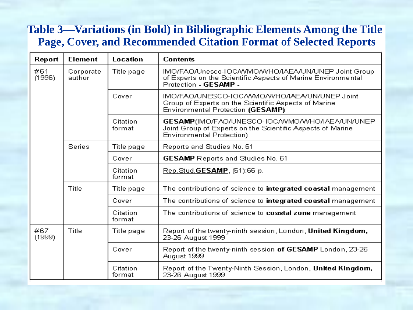#### **Table 3—Variations (in Bold) in Bibliographic Elements Among the Title Page, Cover, and Recommended Citation Format of Selected Reports**

| Report        | <b>Element</b>      | Location           | <b>Contents</b>                                                                                                                                  |  |
|---------------|---------------------|--------------------|--------------------------------------------------------------------------------------------------------------------------------------------------|--|
| #61<br>(1996) | Corporate<br>author | Title page         | IMO/FAO/Unesco-IOCAVMOAVHO/IAEA/UN/UNEP Joint Group<br>of Experts on the Scientific Aspects of Marine Environmental<br>Protection - GESAMP -     |  |
|               |                     | Cover              | IMO/FAO/UNESCO-IOC/VVMO/VVHO/IAEA/UN/UNEP Joint<br>Group of Experts on the Scientific Aspects of Marine<br>Environmental Protection (GESAMP)     |  |
|               |                     | Citation<br>format | GESAMP(IMO/FAO/UNESCO-IOC/WMO/WHO/IAEA/UN/UNEP<br>Joint Group of Experts on the Scientific Aspects of Marine<br><b>Environmental Protection)</b> |  |
|               | <b>Series</b>       | Title page         | Reports and Studies No. 61                                                                                                                       |  |
|               |                     | Cover              | <b>GESAMP</b> Reports and Studies No. 61                                                                                                         |  |
|               |                     | Citation<br>format | Rep. Stud. GESAMP, (61):66 p.                                                                                                                    |  |
|               | Title               | Title page         | The contributions of science to integrated coastal management                                                                                    |  |
|               |                     | Cover              | The contributions of science to integrated coastal management                                                                                    |  |
|               |                     | Citation<br>format | The contributions of science to coastal zone management                                                                                          |  |
| #67<br>(1999) | Title               | Title page         | Report of the twenty-ninth session, London, United Kingdom,<br>23-26 August 1999                                                                 |  |
|               |                     | Cover              | Report of the twenty-ninth session of GESAMP London, 23-26<br>August 1999                                                                        |  |
|               |                     | Citation<br>format | Report of the Twenty-Ninth Session, London, United Kingdom,<br>23-26 August 1999                                                                 |  |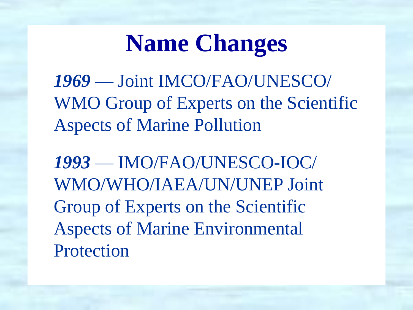# **Name Changes**

*1969* — Joint IMCO/FAO/UNESCO/ WMO Group of Experts on the Scientific Aspects of Marine Pollution

*1993* — IMO/FAO/UNESCO-IOC/ WMO/WHO/IAEA/UN/UNEP Joint Group of Experts on the Scientific Aspects of Marine Environmental Protection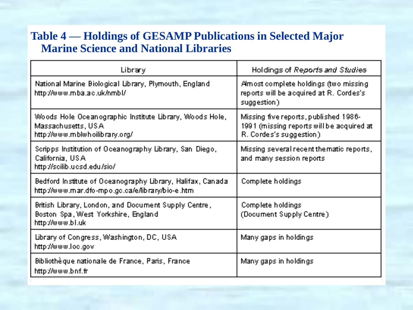#### **Table 4 — Holdings of GESAMP Publications in Selected Major Marine Science and National Libraries**

| Library                                                                                                           | Holdings of Reports and Studies                                                                                |
|-------------------------------------------------------------------------------------------------------------------|----------------------------------------------------------------------------------------------------------------|
| National Marine Biological Library, Plymouth, England<br>http://www.mba.ac.uk/nmbl/                               | Amost complete holdings (two missing<br>reports will be acquired at R. Cordes's<br>suggestion)                 |
| Woods Hole Oceanographic Institute Library, Woods Hole, I<br>Massachusetts, USA<br>http://www.mblwhoilibrary.org/ | Missing five reports, published 1986-<br>1991 (missing reports will be acquired at<br>R. Cordes's suggestion). |
| Scripps Institution of Oceanography Library, San Diego,<br>California, USA<br>http://scilib.ucsd.edu/sio/         | Missing several recent the matic reports,<br>and many session reports.                                         |
| Bedford Institute of Oceanography Library, Halifax, Canada.<br>http://www.mar.dfo-mpo.go.ca/e/library/bio-e.html  | Complete holdings                                                                                              |
| British Library, London, and Document Supply Centre,<br>Boston Spa, West Yorkshire, England<br>http://www.bl.uk   | Complete holdings<br>(Document Supply Centre)                                                                  |
| Library of Congress, Washington, DC, USA<br>http://www.loc.gov                                                    | Many gaps in holdings.                                                                                         |
| Bibliothèque nationale de France, Paris, France<br>http://www.bnf.fr                                              | Many gaps in holdings.                                                                                         |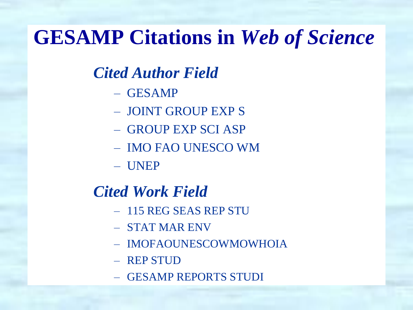### **GESAMP Citations in** *Web of Science*

### *Cited Author Field*

- GESAMP
- JOINT GROUP EXP S
- GROUP EXP SCI ASP
- IMO FAO UNESCO WM
- UNEP

### *Cited Work Field*

- 115 REG SEAS REP STU
- STAT MAR ENV
- IMOFAOUNESCOWMOWHOIA
- REP STUD
- GESAMP REPORTS STUDI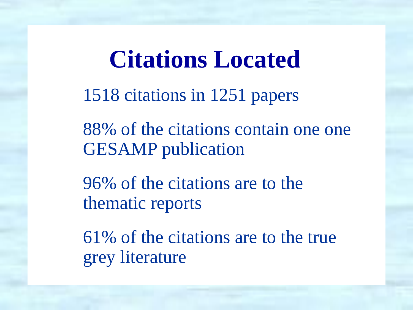### **Citations Located**

1518 citations in 1251 papers

88% of the citations contain one one GESAMP publication

96% of the citations are to the thematic reports

61% of the citations are to the true grey literature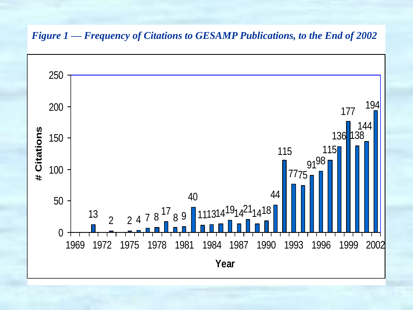#### *Figure 1 — Frequency of Citations to GESAMP Publications, to the End of 2002*

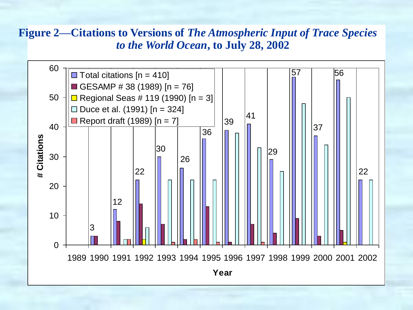#### **Figure 2—Citations to Versions of** *The Atmospheric Input of Trace Species to the World Ocean***, to July 28, 2002**

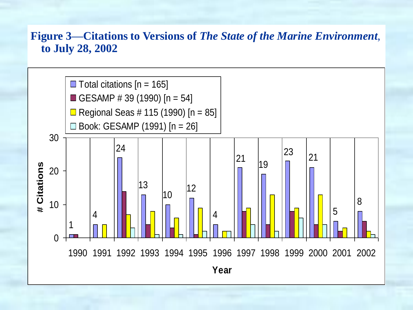#### **Figure 3—Citations to Versions of** *The State of the Marine Environment*, **to July 28, 2002**

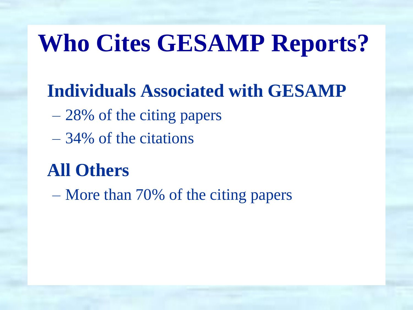# **Who Cites GESAMP Reports?**

### **Individuals Associated with GESAMP**

- 28% of the citing papers
- 34% of the citations

### **All Others**

– More than 70% of the citing papers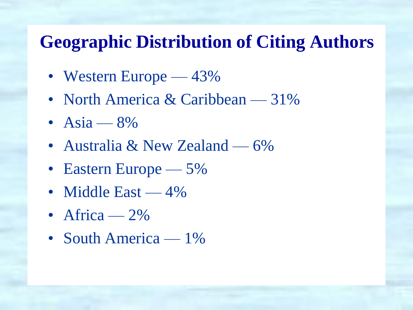### **Geographic Distribution of Citing Authors**

- Western Europe 43%
- North America & Caribbean 31%
- Asia  $8\%$
- Australia & New Zealand 6%
- Eastern Europe 5%
- Middle East 4%
- Africa  $2\%$
- South America 1%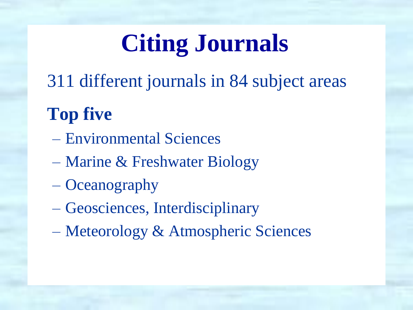# **Citing Journals**

311 different journals in 84 subject areas

### **Top five**

- Environmental Sciences
- Marine & Freshwater Biology
- Oceanography
- Geosciences, Interdisciplinary
- Meteorology & Atmospheric Sciences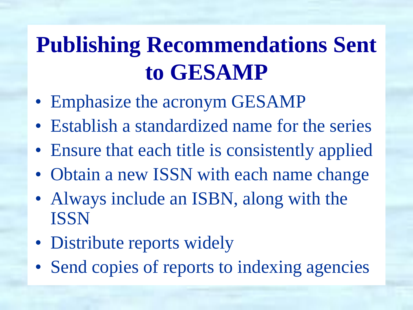## **Publishing Recommendations Sent to GESAMP**

- Emphasize the acronym GESAMP
- Establish a standardized name for the series
- Ensure that each title is consistently applied
- Obtain a new ISSN with each name change
- Always include an ISBN, along with the ISSN
- Distribute reports widely
- Send copies of reports to indexing agencies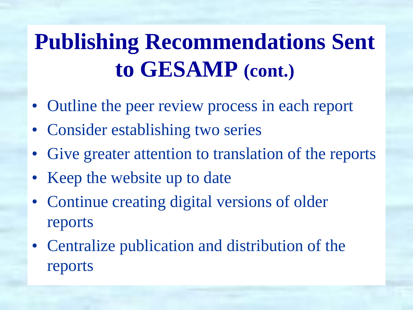# **Publishing Recommendations Sent to GESAMP (cont.)**

- Outline the peer review process in each report
- Consider establishing two series
- Give greater attention to translation of the reports
- Keep the website up to date
- Continue creating digital versions of older reports
- Centralize publication and distribution of the reports